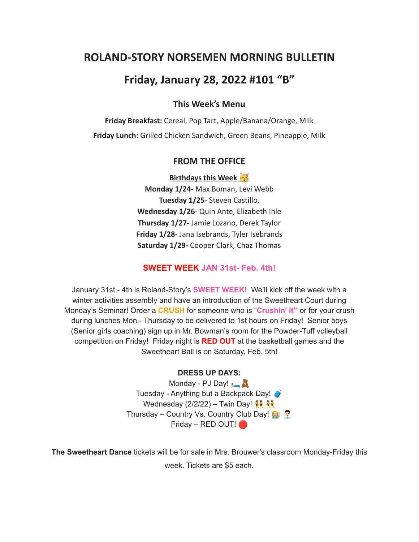# **ROLAND-STORY NORSEMEN MORNING BULLETIN**

# **Friday, January 28, 2022 #101 "B"**

## **This Week's Menu**

**Friday Breakfast:** Cereal, Pop Tart, Apple/Banana/Orange, Milk **Friday Lunch:** Grilled Chicken Sandwich, Green Beans, Pineapple, Milk

#### **FROM THE OFFICE**

**Birthdays this Week** 

**Monday 1/24-** Max Boman, Levi Webb **Tuesday 1/25**- Steven Castillo, **Wednesday 1/26**- Quin Ante, Elizabeth Ihle **Thursday 1/27-** Jamie Lozano, Derek Taylor **Friday 1/28-** Jana Isebrands, Tyler Isebrands **Saturday 1/29-** Cooper Clark, Chaz Thomas

## **SWEET WEEK JAN 31st- Feb. 4th!**

January 31st - 4th is Roland-Story's **SWEET WEEK!** We'll kick off the week with a winter activities assembly and have an introduction of the Sweetheart Court during Monday's Seminar! Order a **CRUSH** for someone who is "**Crushin' it"** or for your crush during lunches Mon.- Thursday to be delivered to 1st hours on Friday! Senior boys (Senior girls coaching) sign up in Mr. Bowman's room for the Powder-Tuff volleyball competition on Friday! Friday night is **RED OUT** at the basketball games and the Sweetheart Ball is on Saturday, Feb. 5th!

### **DRESS UP DAYS:**

Monday - PJ Day! **A** Tuesday - Anything but a Backpack Day! Wednesday (2/2/22) – Twin Day!  $\frac{12}{10}$ Thursday – Country Vs. Country Club Day! Friday – RED OUT!

**The Sweetheart Dance** tickets will be for sale in Mrs. Brouwer's classroom Monday-Friday this week. Tickets are \$5 each.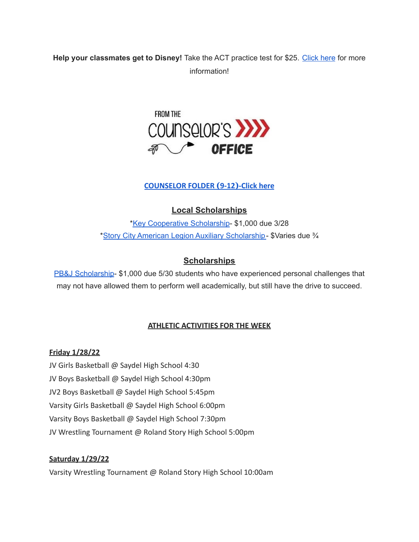# **Help your classmates get to Disney!** Take the ACT practice test for \$25. [Click](https://drive.google.com/file/d/1oPqWQ0VvsIc-NVR9cIZGWUySp5CiMbtD/view?usp=sharing) here for more information!



## **[COUNSELOR FOLDER](https://docs.google.com/document/d/1vmwczNPbDzXe9vFaG5LJMQ7NYDv-i4oQJHybqA65TUc/edit?usp=sharing) (9-12)-Click here**

## **Local Scholarships**

\*Key [Cooperative](https://storcoopmediafilesprd.blob.core.windows.net/atlasportals/all-media/keycoope/website/documents/2021-2022-scholarship-packet.pdf) Scholarship- \$1,000 due 3/28 \*Story City American Legion Auxiliary [Scholarship-](https://docs.google.com/document/d/1mrTNcze4j66xlxg-M87WORerMOc7lhPxYQRvWYQXnBI/edit?usp=sharing) \$Varies due ¾

### **Scholarships**

PB&J [Scholarship-](https://scholarsapp.com/scholarship/pbj-scholarship) \$1,000 due 5/30 students who have experienced personal challenges that may not have allowed them to perform well academically, but still have the drive to succeed.

### **ATHLETIC ACTIVITIES FOR THE WEEK**

#### **Friday 1/28/22**

JV Girls Basketball @ Saydel High School 4:30 JV Boys Basketball @ Saydel High School 4:30pm JV2 Boys Basketball @ Saydel High School 5:45pm Varsity Girls Basketball @ Saydel High School 6:00pm Varsity Boys Basketball @ Saydel High School 7:30pm JV Wrestling Tournament @ Roland Story High School 5:00pm

### **Saturday 1/29/22**

Varsity Wrestling Tournament @ Roland Story High School 10:00am